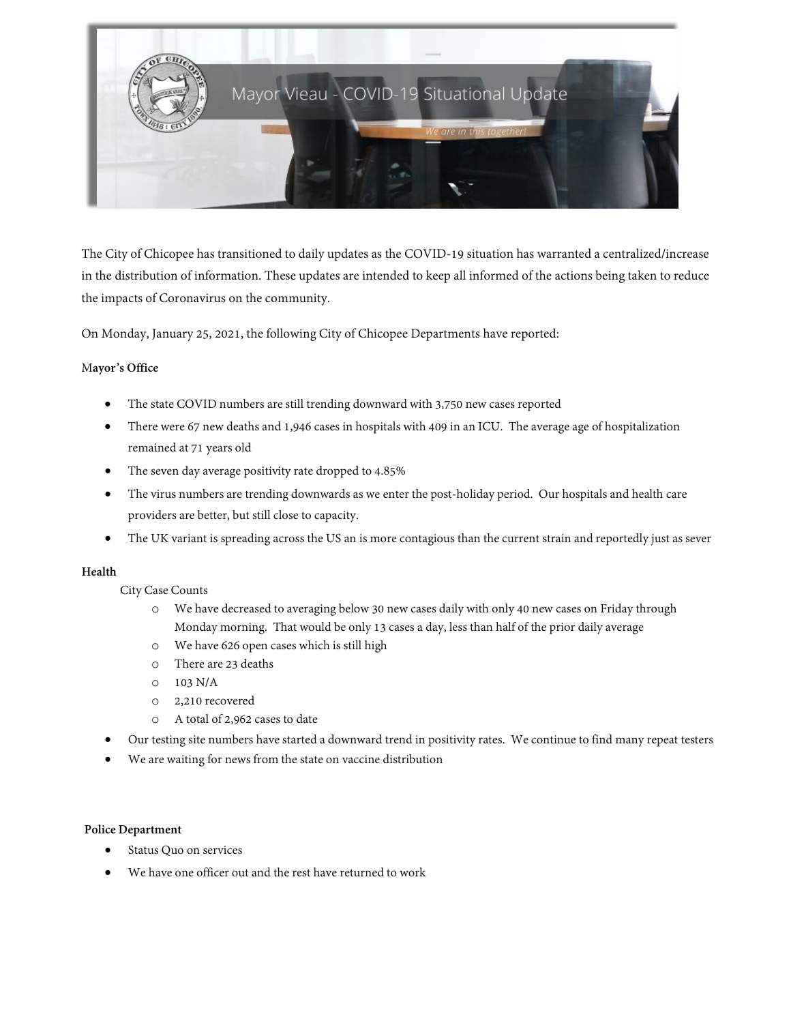

The City of Chicopee has transitioned to daily updates as the COVID-19 situation has warranted a centralized/increase in the distribution of information. These updates are intended to keep all informed of the actions being taken to reduce the impacts of Coronavirus on the community.

On Monday, January 25, 2021, the following City of Chicopee Departments have reported:

### M**ayor's Office**

- The state COVID numbers are still trending downward with 3,750 new cases reported
- There were 67 new deaths and 1,946 cases in hospitals with 409 in an ICU. The average age of hospitalization remained at 71 years old
- The seven day average positivity rate dropped to 4.85%
- The virus numbers are trending downwards as we enter the post-holiday period. Our hospitals and health care providers are better, but still close to capacity.
- The UK variant is spreading across the US an is more contagious than the current strain and reportedly just as sever

### **Health**

City Case Counts

- o We have decreased to averaging below 30 new cases daily with only 40 new cases on Friday through Monday morning. That would be only 13 cases a day, less than half of the prior daily average
- o We have 626 open cases which is still high
- o There are 23 deaths
- $O$  103 N/A
- o 2,210 recovered
- o A total of 2,962 cases to date
- Our testing site numbers have started a downward trend in positivity rates. We continue to find many repeat testers
- We are waiting for news from the state on vaccine distribution

### **Police Department**

- Status Quo on services
- We have one officer out and the rest have returned to work